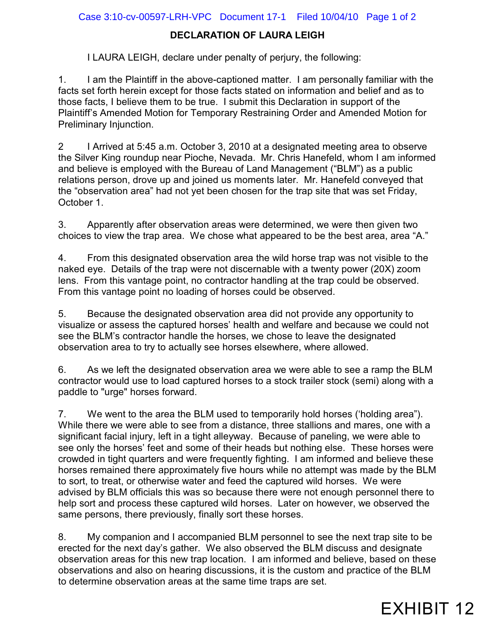## Case 3:10-cv-00597-LRH-VPC Document 17-1 Filed 10/04/10 Page 1 of 2

## **DECLARATION OF LAURA LEIGH**

I LAURA LEIGH, declare under penalty of perjury, the following:

1. I am the Plaintiff in the above-captioned matter. I am personally familiar with the facts set forth herein except for those facts stated on information and belief and as to those facts, I believe them to be true. I submit this Declaration in support of the Plaintiff's Amended Motion for Temporary Restraining Order and Amended Motion for Preliminary Injunction.

2 I Arrived at 5:45 a.m. October 3, 2010 at a designated meeting area to observe the Silver King roundup near Pioche, Nevada. Mr. Chris Hanefeld, whom I am informed and believe is employed with the Bureau of Land Management ("BLM") as a public relations person, drove up and joined us moments later. Mr. Hanefeld conveyed that the "observation area" had not yet been chosen for the trap site that was set Friday, October 1.

3. Apparently after observation areas were determined, we were then given two choices to view the trap area. We chose what appeared to be the best area, area "A."

4. From this designated observation area the wild horse trap was not visible to the naked eye. Details of the trap were not discernable with a twenty power (20X) zoom lens. From this vantage point, no contractor handling at the trap could be observed. From this vantage point no loading of horses could be observed.

5. Because the designated observation area did not provide any opportunity to visualize or assess the captured horses' health and welfare and because we could not see the BLM's contractor handle the horses, we chose to leave the designated observation area to try to actually see horses elsewhere, where allowed.

6. As we left the designated observation area we were able to see a ramp the BLM contractor would use to load captured horses to a stock trailer stock (semi) along with a paddle to "urge" horses forward.

7. We went to the area the BLM used to temporarily hold horses ('holding area"). While there we were able to see from a distance, three stallions and mares, one with a significant facial injury, left in a tight alleyway. Because of paneling, we were able to see only the horses' feet and some of their heads but nothing else. These horses were crowded in tight quarters and were frequently fighting. I am informed and believe these horses remained there approximately five hours while no attempt was made by the BLM to sort, to treat, or otherwise water and feed the captured wild horses. We were advised by BLM officials this was so because there were not enough personnel there to help sort and process these captured wild horses. Later on however, we observed the same persons, there previously, finally sort these horses.

8. My companion and I accompanied BLM personnel to see the next trap site to be erected for the next day's gather. We also observed the BLM discuss and designate observation areas for this new trap location. I am informed and believe, based on these observations and also on hearing discussions, it is the custom and practice of the BLM to determine observation areas at the same time traps are set.